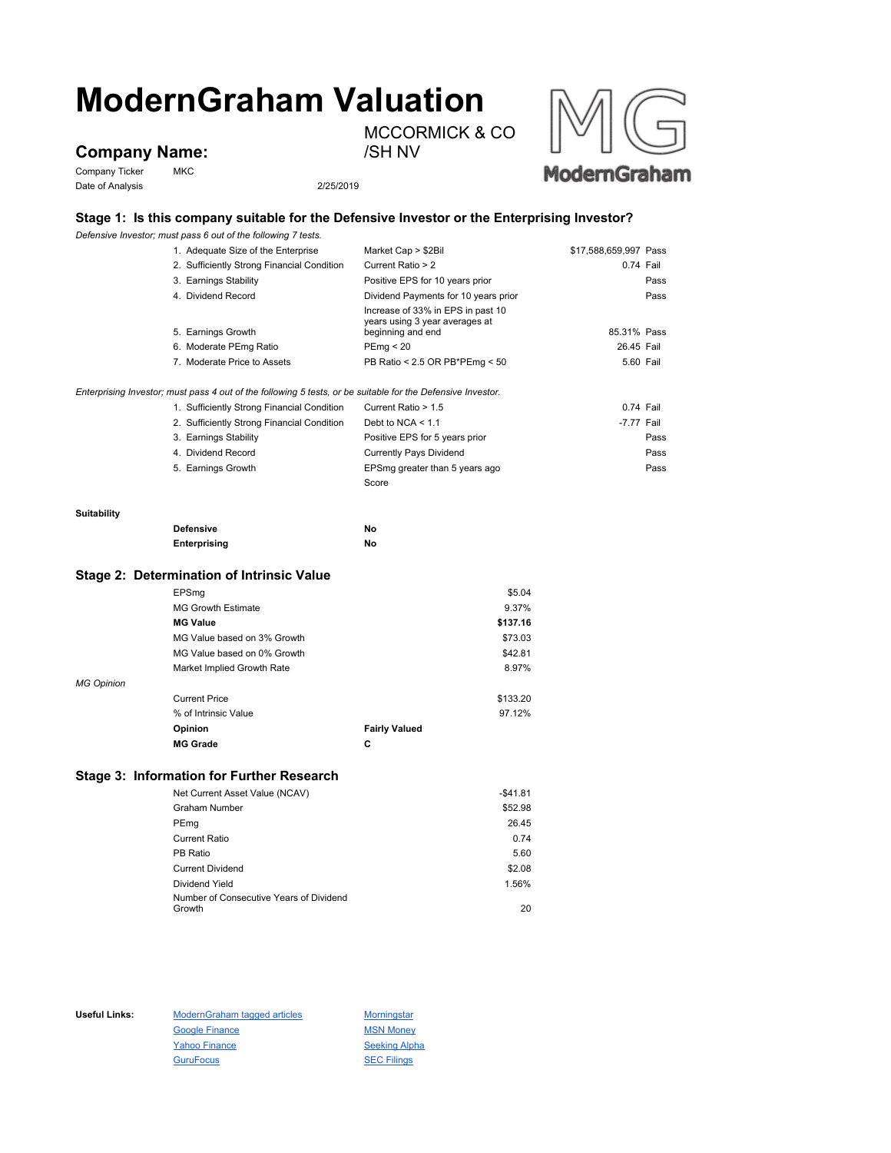# **ModernGraham Valuation** MCCORMICK & CO

## **Company Name:**

Company Ticker MKC Date of Analysis 2/25/2019

/SH NV



### **Stage 1: Is this company suitable for the Defensive Investor or the Enterprising Investor?**

*Defensive Investor; must pass 6 out of the following 7 tests.*

|                                                | 1. Adequate Size of the Enterprise                                                                          | Market Cap > \$2Bil                                 | \$17,588,659,997 Pass |
|------------------------------------------------|-------------------------------------------------------------------------------------------------------------|-----------------------------------------------------|-----------------------|
|                                                | 2. Sufficiently Strong Financial Condition                                                                  | Current Ratio > 2                                   | $0.74$ Fail           |
|                                                | 3. Earnings Stability                                                                                       | Positive EPS for 10 years prior                     | Pass                  |
|                                                | 4. Dividend Record                                                                                          | Dividend Payments for 10 years prior                | Pass                  |
|                                                |                                                                                                             | Increase of 33% in EPS in past 10                   |                       |
|                                                | 5. Earnings Growth                                                                                          | years using 3 year averages at<br>beginning and end | 85.31% Pass           |
|                                                | 6. Moderate PEmg Ratio                                                                                      | PEmg < 20                                           | 26.45 Fail            |
|                                                | 7. Moderate Price to Assets                                                                                 | PB Ratio < 2.5 OR PB*PEmg < 50                      | 5.60 Fail             |
|                                                |                                                                                                             |                                                     |                       |
|                                                | Enterprising Investor; must pass 4 out of the following 5 tests, or be suitable for the Defensive Investor. |                                                     |                       |
|                                                | 1. Sufficiently Strong Financial Condition                                                                  | Current Ratio > 1.5                                 | 0.74 Fail             |
|                                                | 2. Sufficiently Strong Financial Condition                                                                  | Debt to NCA $<$ 1.1                                 | -7.77 Fail            |
|                                                | 3. Earnings Stability                                                                                       | Positive EPS for 5 years prior                      | Pass                  |
|                                                | 4. Dividend Record                                                                                          | <b>Currently Pays Dividend</b>                      | Pass                  |
|                                                | 5. Earnings Growth                                                                                          | EPSmg greater than 5 years ago                      | Pass                  |
|                                                |                                                                                                             | Score                                               |                       |
| Suitability                                    |                                                                                                             |                                                     |                       |
| <b>Defensive</b>                               |                                                                                                             | No                                                  |                       |
|                                                | Enterprising                                                                                                | No                                                  |                       |
|                                                | Stage 2: Determination of Intrinsic Value                                                                   |                                                     |                       |
|                                                | EPSmg                                                                                                       | \$5.04                                              |                       |
|                                                | <b>MG Growth Estimate</b>                                                                                   | 9.37%                                               |                       |
| <b>MG Value</b><br>MG Value based on 3% Growth |                                                                                                             | \$137.16                                            |                       |
|                                                |                                                                                                             | \$73.03                                             |                       |
|                                                | MG Value based on 0% Growth                                                                                 |                                                     |                       |
|                                                |                                                                                                             | \$42.81<br>8.97%                                    |                       |
|                                                | Market Implied Growth Rate                                                                                  |                                                     |                       |

| <b>Current Price</b> | \$133.20             |
|----------------------|----------------------|
| % of Intrinsic Value | 97.12%               |
| <b>Opinion</b>       | <b>Fairly Valued</b> |
| <b>MG Grade</b>      | С                    |

#### **Stage 3: Information for Further Research**

| Net Current Asset Value (NCAV)          | $-$41.81$ |
|-----------------------------------------|-----------|
| <b>Graham Number</b>                    | \$52.98   |
| PEmg                                    | 26.45     |
| <b>Current Ratio</b>                    | 0.74      |
| PB Ratio                                | 5.60      |
| <b>Current Dividend</b>                 | \$2.08    |
| Dividend Yield                          | 1.56%     |
| Number of Consecutive Years of Dividend |           |
| Growth                                  | 20        |

*MG Opinion*

Useful Links: ModernGraham tagged articles Morningstar Google Finance MSN Money Yahoo Finance Seeking Alpha GuruFocus **SEC Filings**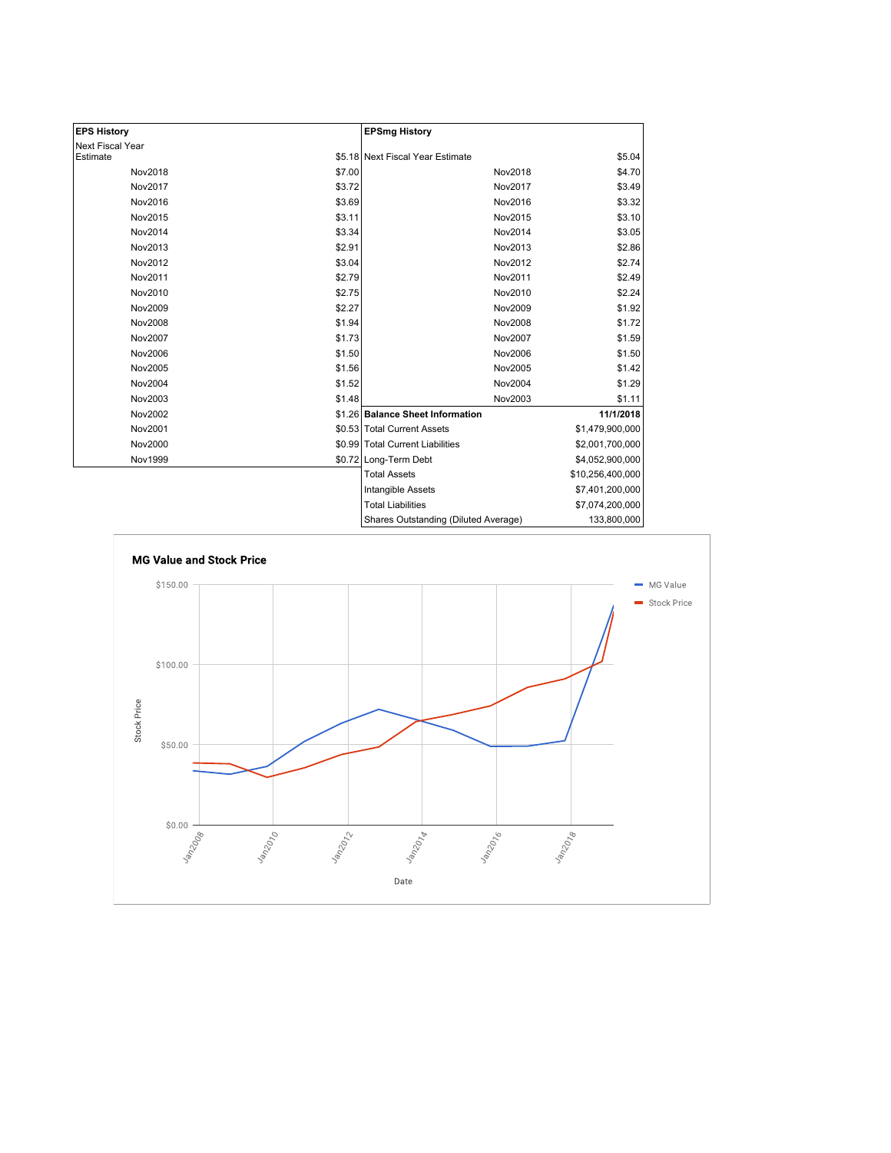| <b>EPS History</b> |        | <b>EPSmg History</b>                 |                  |
|--------------------|--------|--------------------------------------|------------------|
| Next Fiscal Year   |        |                                      |                  |
| Estimate           |        | \$5.18 Next Fiscal Year Estimate     | \$5.04           |
| Nov2018            | \$7.00 | Nov2018                              | \$4.70           |
| Nov2017            | \$3.72 | Nov2017                              | \$3.49           |
| Nov2016            | \$3.69 | Nov2016                              | \$3.32           |
| Nov2015            | \$3.11 | Nov2015                              | \$3.10           |
| Nov2014            | \$3.34 | Nov2014                              | \$3.05           |
| Nov2013            | \$2.91 | Nov2013                              | \$2.86           |
| Nov2012            | \$3.04 | Nov2012                              | \$2.74           |
| Nov2011            | \$2.79 | Nov2011                              | \$2.49           |
| Nov2010            | \$2.75 | Nov2010                              | \$2.24           |
| Nov2009            | \$2.27 | Nov2009                              | \$1.92           |
| <b>Nov2008</b>     | \$1.94 | Nov2008                              | \$1.72           |
| Nov2007            | \$1.73 | Nov2007                              | \$1.59           |
| Nov2006            | \$1.50 | Nov2006                              | \$1.50           |
| Nov2005            | \$1.56 | Nov2005                              | \$1.42           |
| Nov2004            | \$1.52 | Nov2004                              | \$1.29           |
| Nov2003            | \$1.48 | Nov2003                              | \$1.11           |
| Nov2002            |        | \$1.26 Balance Sheet Information     | 11/1/2018        |
| Nov2001            |        | \$0.53 Total Current Assets          | \$1,479,900,000  |
| Nov2000            |        | \$0.99 Total Current Liabilities     | \$2,001,700,000  |
| Nov1999            |        | \$0.72 Long-Term Debt                | \$4,052,900,000  |
|                    |        | <b>Total Assets</b>                  | \$10,256,400,000 |
|                    |        | Intangible Assets                    | \$7,401,200,000  |
|                    |        | <b>Total Liabilities</b>             | \$7,074,200,000  |
|                    |        | Shares Outstanding (Diluted Average) | 133,800,000      |